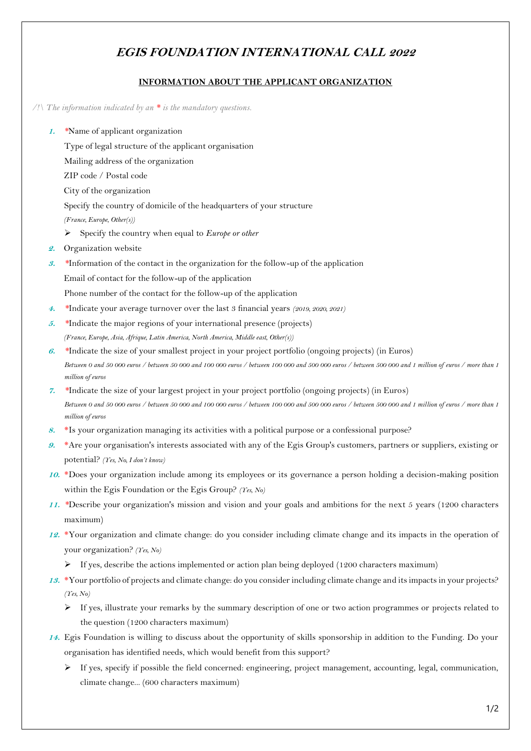## **EGIS FOUNDATION INTERNATIONAL CALL 2022**

## **INFORMATION ABOUT THE APPLICANT ORGANIZATION**

## */!\ The information indicated by an \* is the mandatory questions.*

- **1.** *\**Name of applicant organization
	- Type of legal structure of the applicant organisation
	- Mailing address of the organization
	- ZIP code / Postal code
	- City of the organization
	- Specify the country of domicile of the headquarters of your structure
	- *(France, Europe, Other(s))*
	- Specify the country when equal to *Europe or other*
- **2.** Organization website
- **3.** *\**Information of the contact in the organization for the follow-up of the application Email of contact for the follow-up of the application
	- Phone number of the contact for the follow-up of the application
- **4.** *\**Indicate your average turnover over the last 3 financial years *(2019, 2020, 2021)*
- **5.** *\**Indicate the major regions of your international presence (projects) *(France, Europe, Asia, Afrique, Latin America, North America, Middle east, Other(s))*
- **6.** *\**Indicate the size of your smallest project in your project portfolio (ongoing projects) (in Euros) *Between 0 and 50 000 euros / between 50 000 and 100 000 euros / between 100 000 and 500 000 euros / between 500 000 and 1 million of euros / more than 1 million of euros*
- **7.** *\**Indicate the size of your largest project in your project portfolio (ongoing projects) (in Euros) *Between 0 and 50 000 euros / between 50 000 and 100 000 euros / between 100 000 and 500 000 euros / between 500 000 and 1 million of euros / more than 1 million of euros*
- 8. \*Is your organization managing its activities with a political purpose or a confessional purpose?
- **9.** \*Are your organisation's interests associated with any of the Egis Group's customers, partners or suppliers, existing or potential? *(Yes, No, I don't know)*
- **10.** \*Does your organization include among its employees or its governance a person holding a decision-making position within the Egis Foundation or the Egis Group? *(Yes, No)*
- **11.** *\**Describe your organization's mission and vision and your goals and ambitions for the next 5 years (1200 characters maximum)
- **12.** \*Your organization and climate change: do you consider including climate change and its impacts in the operation of your organization? *(Yes, No)*
	- $\triangleright$  If yes, describe the actions implemented or action plan being deployed (1200 characters maximum)
- **13.** \*Your portfolio of projects and climate change: do you consider including climate change and its impacts in your projects? *(Yes, No)*
	- $\triangleright$  If yes, illustrate your remarks by the summary description of one or two action programmes or projects related to the question (1200 characters maximum)
- **14.** Egis Foundation is willing to discuss about the opportunity of skills sponsorship in addition to the Funding. Do your organisation has identified needs, which would benefit from this support?
	- $\triangleright$  If yes, specify if possible the field concerned: engineering, project management, accounting, legal, communication, climate change... (600 characters maximum)